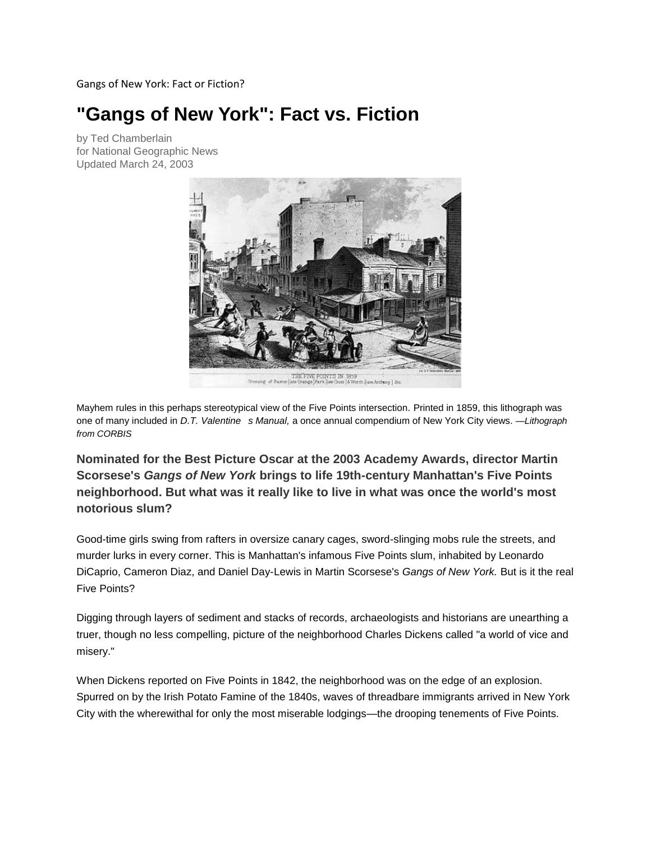Gangs of New York: Fact or Fiction?

# **"Gangs of New York": Fact vs. Fiction**

by Ted Chamberlain for National Geographic News Updated March 24, 2003



Mayhem rules in this perhaps stereotypical view of the Five Points intersection. Printed in 1859, this lithograph was one of many included in *D.T. Valentine s Manual*, a once annual compendium of New York City views. —Lithograph *from CORBIS* 

**Nominated for the Best Picture Oscar at the 2003 Academy Awards, director Martin Scorsese's** *Gangs of New York* **brings to life 19th-century Manhattan's Five Points neighborhood. But what was it really like to live in what was once the world's most notorious slum?**

Good-time girls swing from rafters in oversize canary cages, sword-slinging mobs rule the streets, and murder lurks in every corner. This is Manhattan's infamous Five Points slum, inhabited by Leonardo DiCaprio, Cameron Diaz, and Daniel Day-Lewis in Martin Scorsese's *Gangs of New York.* But is it the real Five Points?

Digging through layers of sediment and stacks of records, archaeologists and historians are unearthing a truer, though no less compelling, picture of the neighborhood Charles Dickens called "a world of vice and misery."

When Dickens reported on Five Points in 1842, the neighborhood was on the edge of an explosion. Spurred on by the Irish Potato Famine of the 1840s, waves of threadbare immigrants arrived in New York City with the wherewithal for only the most miserable lodgings—the drooping tenements of Five Points.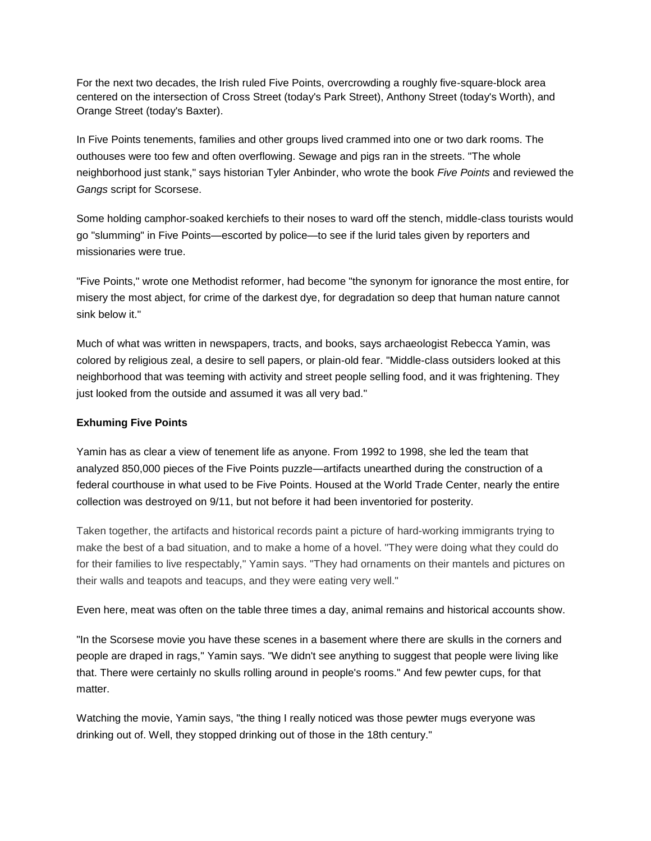For the next two decades, the Irish ruled Five Points, overcrowding a roughly five-square-block area centered on the intersection of Cross Street (today's Park Street), Anthony Street (today's Worth), and Orange Street (today's Baxter).

In Five Points tenements, families and other groups lived crammed into one or two dark rooms. The outhouses were too few and often overflowing. Sewage and pigs ran in the streets. "The whole neighborhood just stank," says historian Tyler Anbinder, who wrote the book *Five Points* and reviewed the *Gangs* script for Scorsese.

Some holding camphor-soaked kerchiefs to their noses to ward off the stench, middle-class tourists would go "slumming" in Five Points—escorted by police—to see if the lurid tales given by reporters and missionaries were true.

"Five Points," wrote one Methodist reformer, had become "the synonym for ignorance the most entire, for misery the most abject, for crime of the darkest dye, for degradation so deep that human nature cannot sink below it."

Much of what was written in newspapers, tracts, and books, says archaeologist Rebecca Yamin, was colored by religious zeal, a desire to sell papers, or plain-old fear. "Middle-class outsiders looked at this neighborhood that was teeming with activity and street people selling food, and it was frightening. They just looked from the outside and assumed it was all very bad."

## **Exhuming Five Points**

Yamin has as clear a view of tenement life as anyone. From 1992 to 1998, she led the team that analyzed 850,000 pieces of the Five Points puzzle—artifacts unearthed during the construction of a federal courthouse in what used to be Five Points. Housed at the World Trade Center, nearly the entire collection was destroyed on 9/11, but not before it had been inventoried for posterity.

Taken together, the artifacts and historical records paint a picture of hard-working immigrants trying to make the best of a bad situation, and to make a home of a hovel. "They were doing what they could do for their families to live respectably," Yamin says. "They had ornaments on their mantels and pictures on their walls and teapots and teacups, and they were eating very well."

Even here, meat was often on the table three times a day, animal remains and historical accounts show.

"In the Scorsese movie you have these scenes in a basement where there are skulls in the corners and people are draped in rags," Yamin says. "We didn't see anything to suggest that people were living like that. There were certainly no skulls rolling around in people's rooms." And few pewter cups, for that matter.

Watching the movie, Yamin says, "the thing I really noticed was those pewter mugs everyone was drinking out of. Well, they stopped drinking out of those in the 18th century."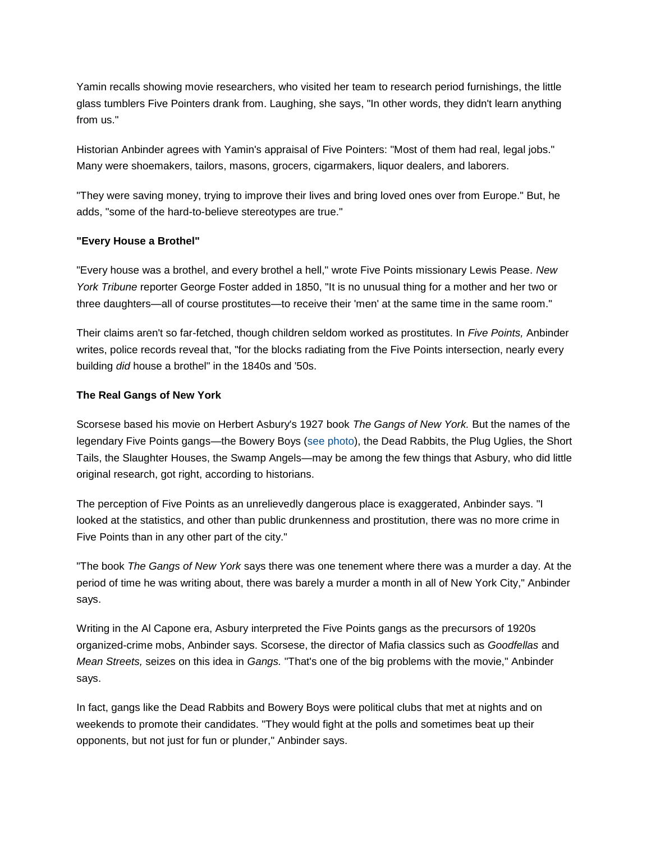Yamin recalls showing movie researchers, who visited her team to research period furnishings, the little glass tumblers Five Pointers drank from. Laughing, she says, "In other words, they didn't learn anything from us."

Historian Anbinder agrees with Yamin's appraisal of Five Pointers: "Most of them had real, legal jobs." Many were shoemakers, tailors, masons, grocers, cigarmakers, liquor dealers, and laborers.

"They were saving money, trying to improve their lives and bring loved ones over from Europe." But, he adds, "some of the hard-to-believe stereotypes are true."

## **"Every House a Brothel"**

"Every house was a brothel, and every brothel a hell," wrote Five Points missionary Lewis Pease. *New York Tribune* reporter George Foster added in 1850, "It is no unusual thing for a mother and her two or three daughters—all of course prostitutes—to receive their 'men' at the same time in the same room."

Their claims aren't so far-fetched, though children seldom worked as prostitutes. In *Five Points,* Anbinder writes, police records reveal that, "for the blocks radiating from the Five Points intersection, nearly every building *did* house a brothel" in the 1840s and '50s.

### **The Real Gangs of New York**

Scorsese based his movie on Herbert Asbury's 1927 book *The Gangs of New York.* But the names of the legendary Five Points gangs—the Bowery Boys [\(see photo\)](http://news.nationalgeographic.com/news/2003/03/photogalleries/gangs/photo2.html), the Dead Rabbits, the Plug Uglies, the Short Tails, the Slaughter Houses, the Swamp Angels—may be among the few things that Asbury, who did little original research, got right, according to historians.

The perception of Five Points as an unrelievedly dangerous place is exaggerated, Anbinder says. "I looked at the statistics, and other than public drunkenness and prostitution, there was no more crime in Five Points than in any other part of the city."

"The book *The Gangs of New York* says there was one tenement where there was a murder a day. At the period of time he was writing about, there was barely a murder a month in all of New York City," Anbinder says.

Writing in the Al Capone era, Asbury interpreted the Five Points gangs as the precursors of 1920s organized-crime mobs, Anbinder says. Scorsese, the director of Mafia classics such as *Goodfellas* and *Mean Streets,* seizes on this idea in *Gangs.* "That's one of the big problems with the movie," Anbinder says.

In fact, gangs like the Dead Rabbits and Bowery Boys were political clubs that met at nights and on weekends to promote their candidates. "They would fight at the polls and sometimes beat up their opponents, but not just for fun or plunder," Anbinder says.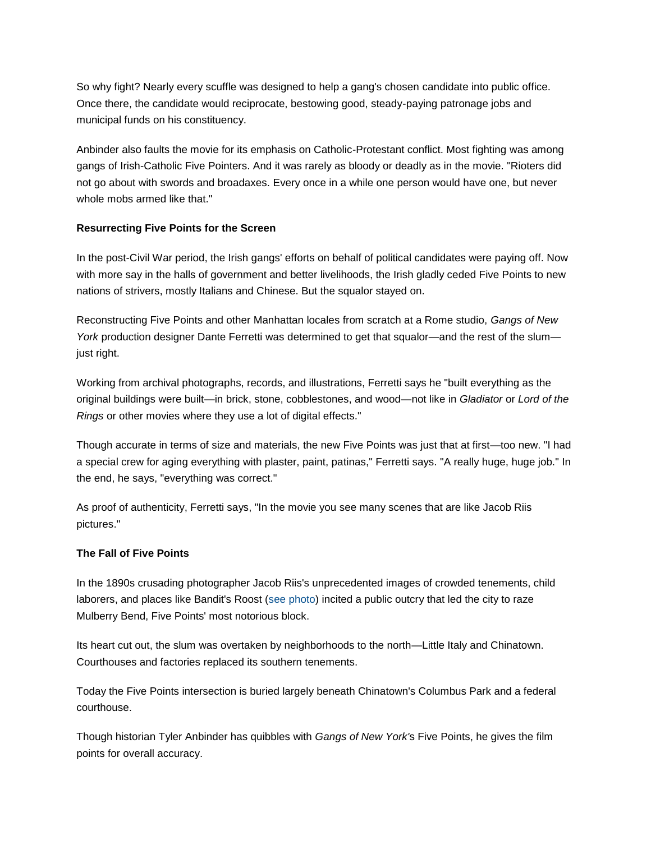So why fight? Nearly every scuffle was designed to help a gang's chosen candidate into public office. Once there, the candidate would reciprocate, bestowing good, steady-paying patronage jobs and municipal funds on his constituency.

Anbinder also faults the movie for its emphasis on Catholic-Protestant conflict. Most fighting was among gangs of Irish-Catholic Five Pointers. And it was rarely as bloody or deadly as in the movie. "Rioters did not go about with swords and broadaxes. Every once in a while one person would have one, but never whole mobs armed like that."

### **Resurrecting Five Points for the Screen**

In the post-Civil War period, the Irish gangs' efforts on behalf of political candidates were paying off. Now with more say in the halls of government and better livelihoods, the Irish gladly ceded Five Points to new nations of strivers, mostly Italians and Chinese. But the squalor stayed on.

Reconstructing Five Points and other Manhattan locales from scratch at a Rome studio, *Gangs of New York* production designer Dante Ferretti was determined to get that squalor—and the rest of the slum just right.

Working from archival photographs, records, and illustrations, Ferretti says he "built everything as the original buildings were built—in brick, stone, cobblestones, and wood—not like in *Gladiator* or *Lord of the Rings* or other movies where they use a lot of digital effects."

Though accurate in terms of size and materials, the new Five Points was just that at first—too new. "I had a special crew for aging everything with plaster, paint, patinas," Ferretti says. "A really huge, huge job." In the end, he says, "everything was correct."

As proof of authenticity, Ferretti says, "In the movie you see many scenes that are like Jacob Riis pictures."

#### **The Fall of Five Points**

In the 1890s crusading photographer Jacob Riis's unprecedented images of crowded tenements, child laborers, and places like Bandit's Roost [\(see photo\)](http://news.nationalgeographic.com/news/2003/03/%20http:/news.nationalgeographic.com/news/2003/03/photogalleries/gangs/index.html) incited a public outcry that led the city to raze Mulberry Bend, Five Points' most notorious block.

Its heart cut out, the slum was overtaken by neighborhoods to the north—Little Italy and Chinatown. Courthouses and factories replaced its southern tenements.

Today the Five Points intersection is buried largely beneath Chinatown's Columbus Park and a federal courthouse.

Though historian Tyler Anbinder has quibbles with *Gangs of New York'*s Five Points, he gives the film points for overall accuracy.